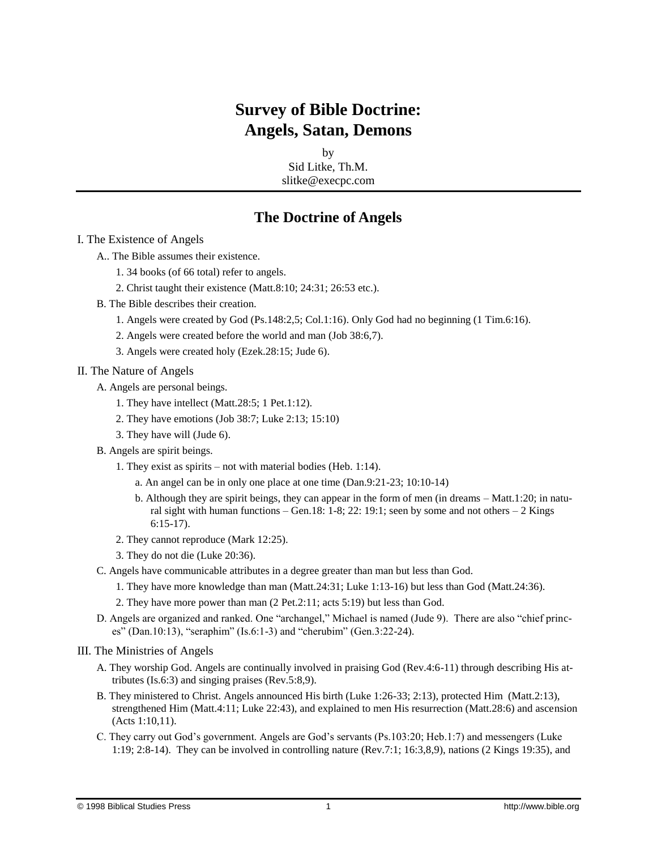# **Survey of Bible Doctrine: Angels, Satan, Demons**

by Sid Litke, Th.M. slitke@execpc.com

### **The Doctrine of Angels**

#### I. The Existence of Angels

- A.. The Bible assumes their existence.
	- 1. 34 books (of 66 total) refer to angels.
	- 2. Christ taught their existence (Matt.8:10; 24:31; 26:53 etc.).
- B. The Bible describes their creation.
	- 1. Angels were created by God (Ps.148:2,5; Col.1:16). Only God had no beginning (1 Tim.6:16).
	- 2. Angels were created before the world and man (Job 38:6,7).
	- 3. Angels were created holy (Ezek.28:15; Jude 6).

#### II. The Nature of Angels

- A. Angels are personal beings.
	- 1. They have intellect (Matt.28:5; 1 Pet.1:12).
	- 2. They have emotions (Job 38:7; Luke 2:13; 15:10)
	- 3. They have will (Jude 6).
- B. Angels are spirit beings.
	- 1. They exist as spirits not with material bodies (Heb. 1:14).
		- a. An angel can be in only one place at one time (Dan.9:21-23; 10:10-14)
		- b. Although they are spirit beings, they can appear in the form of men (in dreams Matt.1:20; in natural sight with human functions – Gen.18: 1-8; 22: 19:1; seen by some and not others – 2 Kings 6:15-17).
	- 2. They cannot reproduce (Mark 12:25).
	- 3. They do not die (Luke 20:36).
- C. Angels have communicable attributes in a degree greater than man but less than God.
	- 1. They have more knowledge than man (Matt.24:31; Luke 1:13-16) but less than God (Matt.24:36).
	- 2. They have more power than man (2 Pet.2:11; acts 5:19) but less than God.
- D. Angels are organized and ranked. One "archangel," Michael is named (Jude 9). There are also "chief princes" (Dan.10:13), "seraphim" (Is.6:1-3) and "cherubim" (Gen.3:22-24).

#### III. The Ministries of Angels

- A. They worship God. Angels are continually involved in praising God (Rev.4:6-11) through describing His attributes (Is.6:3) and singing praises (Rev.5:8,9).
- B. They ministered to Christ. Angels announced His birth (Luke 1:26-33; 2:13), protected Him (Matt.2:13), strengthened Him (Matt.4:11; Luke 22:43), and explained to men His resurrection (Matt.28:6) and ascension (Acts 1:10,11).
- C. They carry out God's government. Angels are God's servants (Ps.103:20; Heb.1:7) and messengers (Luke 1:19; 2:8-14). They can be involved in controlling nature (Rev.7:1; 16:3,8,9), nations (2 Kings 19:35), and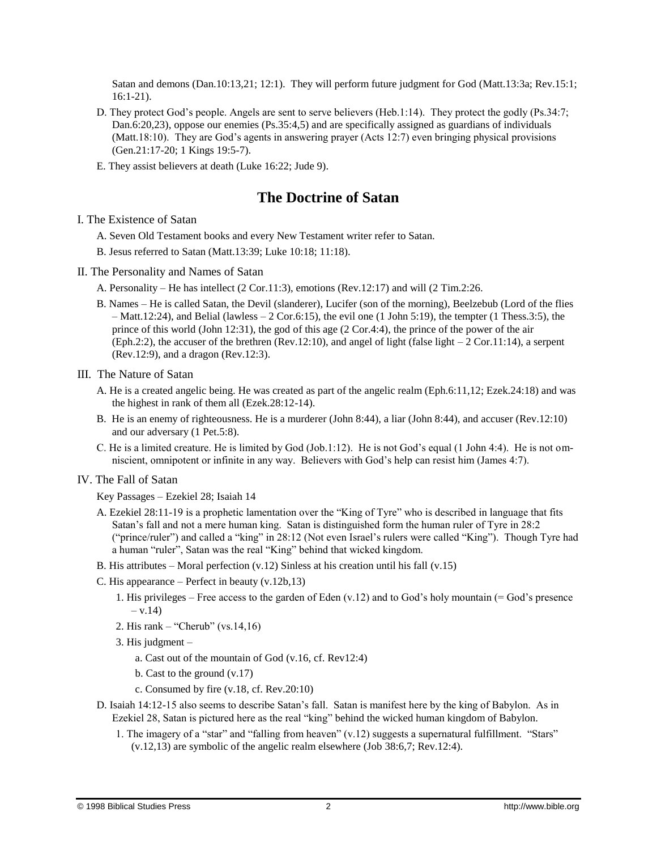Satan and demons (Dan.10:13,21; 12:1). They will perform future judgment for God (Matt.13:3a; Rev.15:1; 16:1-21).

- D. They protect God's people. Angels are sent to serve believers (Heb.1:14). They protect the godly (Ps.34:7; Dan.6:20,23), oppose our enemies (Ps.35:4,5) and are specifically assigned as guardians of individuals (Matt.18:10). They are God's agents in answering prayer (Acts 12:7) even bringing physical provisions (Gen.21:17-20; 1 Kings 19:5-7).
- E. They assist believers at death (Luke 16:22; Jude 9).

### **The Doctrine of Satan**

I. The Existence of Satan

- A. Seven Old Testament books and every New Testament writer refer to Satan.
- B. Jesus referred to Satan (Matt.13:39; Luke 10:18; 11:18).
- II. The Personality and Names of Satan
	- A. Personality He has intellect (2 Cor.11:3), emotions (Rev.12:17) and will (2 Tim.2:26.
	- B. Names He is called Satan, the Devil (slanderer), Lucifer (son of the morning), Beelzebub (Lord of the flies – Matt.12:24), and Belial (lawless – 2 Cor.6:15), the evil one (1 John 5:19), the tempter (1 Thess.3:5), the prince of this world (John 12:31), the god of this age (2 Cor.4:4), the prince of the power of the air (Eph.2:2), the accuser of the brethren (Rev.12:10), and angel of light (false light  $-2$  Cor.11:14), a serpent (Rev.12:9), and a dragon (Rev.12:3).

III. The Nature of Satan

- A. He is a created angelic being. He was created as part of the angelic realm (Eph.6:11,12; Ezek.24:18) and was the highest in rank of them all (Ezek.28:12-14).
- B. He is an enemy of righteousness. He is a murderer (John 8:44), a liar (John 8:44), and accuser (Rev.12:10) and our adversary (1 Pet.5:8).
- C. He is a limited creature. He is limited by God (Job.1:12). He is not God's equal (1 John 4:4). He is not omniscient, omnipotent or infinite in any way. Believers with God's help can resist him (James 4:7).

### IV. The Fall of Satan

Key Passages – Ezekiel 28; Isaiah 14

- A. Ezekiel 28:11-19 is a prophetic lamentation over the "King of Tyre" who is described in language that fits Satan's fall and not a mere human king. Satan is distinguished form the human ruler of Tyre in 28:2 ("prince/ruler") and called a "king" in 28:12 (Not even Israel's rulers were called "King"). Though Tyre had a human "ruler", Satan was the real "King" behind that wicked kingdom.
- B. His attributes Moral perfection  $(v.12)$  Sinless at his creation until his fall  $(v.15)$
- C. His appearance Perfect in beauty (v.12b,13)
	- 1. His privileges Free access to the garden of Eden  $(v.12)$  and to God's holy mountain (= God's presence  $- v.14$
	- 2. His rank "Cherub" (vs.14,16)
	- 3. His judgment
		- a. Cast out of the mountain of God (v.16, cf. Rev12:4)
		- b. Cast to the ground (v.17)
		- c. Consumed by fire (v.18, cf. Rev.20:10)
- D. Isaiah 14:12-15 also seems to describe Satan's fall. Satan is manifest here by the king of Babylon. As in Ezekiel 28, Satan is pictured here as the real "king" behind the wicked human kingdom of Babylon.
	- 1. The imagery of a "star" and "falling from heaven" (v.12) suggests a supernatural fulfillment. "Stars" (v.12,13) are symbolic of the angelic realm elsewhere (Job 38:6,7; Rev.12:4).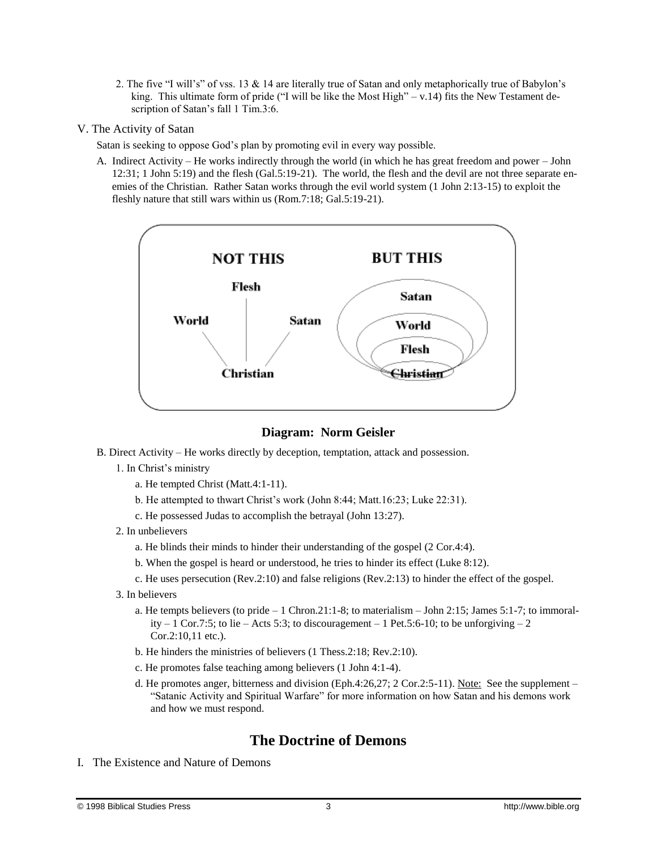2. The five "I will's" of vss. 13 & 14 are literally true of Satan and only metaphorically true of Babylon's king. This ultimate form of pride ("I will be like the Most High"  $-v.14$ ) fits the New Testament description of Satan's fall 1 Tim.3:6.

#### V. The Activity of Satan

Satan is seeking to oppose God's plan by promoting evil in every way possible.

A. Indirect Activity – He works indirectly through the world (in which he has great freedom and power – John 12:31; 1 John 5:19) and the flesh (Gal.5:19-21). The world, the flesh and the devil are not three separate enemies of the Christian. Rather Satan works through the evil world system (1 John 2:13-15) to exploit the fleshly nature that still wars within us (Rom.7:18; Gal.5:19-21).



### **Diagram: Norm Geisler**

- B. Direct Activity He works directly by deception, temptation, attack and possession.
	- 1. In Christ's ministry
		- a. He tempted Christ (Matt.4:1-11).
		- b. He attempted to thwart Christ's work (John 8:44; Matt.16:23; Luke 22:31).
		- c. He possessed Judas to accomplish the betrayal (John 13:27).
	- 2. In unbelievers
		- a. He blinds their minds to hinder their understanding of the gospel (2 Cor.4:4).
		- b. When the gospel is heard or understood, he tries to hinder its effect (Luke 8:12).
		- c. He uses persecution (Rev.2:10) and false religions (Rev.2:13) to hinder the effect of the gospel.
	- 3. In believers
		- a. He tempts believers (to pride 1 Chron.21:1-8; to materialism John 2:15; James 5:1-7; to immorality  $-1$  Cor.7:5; to lie – Acts 5:3; to discouragement – 1 Pet.5:6-10; to be unforgiving  $-2$ Cor.2:10,11 etc.).
		- b. He hinders the ministries of believers (1 Thess.2:18; Rev.2:10).
		- c. He promotes false teaching among believers (1 John 4:1-4).
		- d. He promotes anger, bitterness and division (Eph.4:26,27; 2 Cor.2:5-11). Note: See the supplement "Satanic Activity and Spiritual Warfare" for more information on how Satan and his demons work and how we must respond.

## **The Doctrine of Demons**

I. The Existence and Nature of Demons